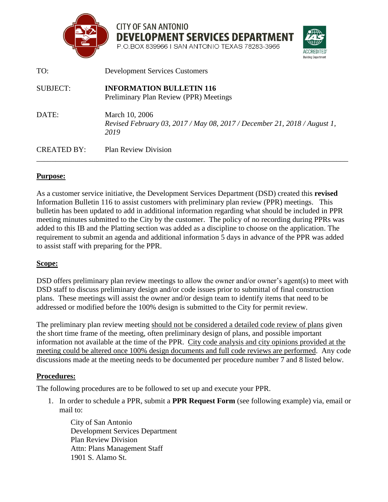

**CITY OF SAN ANTONIO DEVELOPMENT SERVICES DEPARTMENT** 

**Building Departme** 

P.O.BOX 839966 I SAN ANTONIO TEXAS 78283-3966

| TO:                | <b>Development Services Customers</b>                                                              |
|--------------------|----------------------------------------------------------------------------------------------------|
| SUBJECT:           | <b>INFORMATION BULLETIN 116</b><br>Preliminary Plan Review (PPR) Meetings                          |
| DATE:              | March 10, 2006<br>Revised February 03, 2017 / May 08, 2017 / December 21, 2018 / August 1,<br>2019 |
| <b>CREATED BY:</b> | <b>Plan Review Division</b>                                                                        |

### **Purpose:**

As a customer service initiative, the Development Services Department (DSD) created this **revised** Information Bulletin 116 to assist customers with preliminary plan review (PPR) meetings. This bulletin has been updated to add in additional information regarding what should be included in PPR meeting minutes submitted to the City by the customer. The policy of no recording during PPRs was added to this IB and the Platting section was added as a discipline to choose on the application. The requirement to submit an agenda and additional information 5 days in advance of the PPR was added to assist staff with preparing for the PPR.

### **Scope:**

DSD offers preliminary plan review meetings to allow the owner and/or owner's agent(s) to meet with DSD staff to discuss preliminary design and/or code issues prior to submittal of final construction plans. These meetings will assist the owner and/or design team to identify items that need to be addressed or modified before the 100% design is submitted to the City for permit review.

The preliminary plan review meeting should not be considered a detailed code review of plans given the short time frame of the meeting, often preliminary design of plans, and possible important information not available at the time of the PPR. City code analysis and city opinions provided at the meeting could be altered once 100% design documents and full code reviews are performed. Any code discussions made at the meeting needs to be documented per procedure number 7 and 8 listed below.

# **Procedures:**

The following procedures are to be followed to set up and execute your PPR.

1. In order to schedule a PPR, submit a **PPR Request Form** (see following example) via, email or mail to:

City of San Antonio Development Services Department Plan Review Division Attn: Plans Management Staff 1901 S. Alamo St.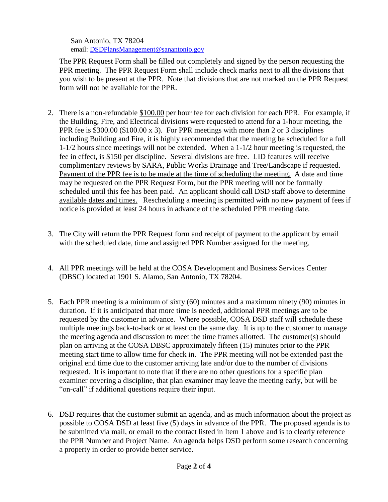San Antonio, TX 78204 email: [DSDPlansManagement@sanantonio.gov](mailto:DSDPlansManagement@sanantonio.gov)

The PPR Request Form shall be filled out completely and signed by the person requesting the PPR meeting. The PPR Request Form shall include check marks next to all the divisions that you wish to be present at the PPR. Note that divisions that are not marked on the PPR Request form will not be available for the PPR.

- 2. There is a non-refundable \$100.00 per hour fee for each division for each PPR. For example, if the Building, Fire, and Electrical divisions were requested to attend for a 1-hour meeting, the PPR fee is \$300.00 (\$100.00 x 3). For PPR meetings with more than 2 or 3 disciplines including Building and Fire, it is highly recommended that the meeting be scheduled for a full 1-1/2 hours since meetings will not be extended. When a 1-1/2 hour meeting is requested, the fee in effect, is \$150 per discipline. Several divisions are free. LID features will receive complimentary reviews by SARA, Public Works Drainage and Tree/Landscape if requested. Payment of the PPR fee is to be made at the time of scheduling the meeting. A date and time may be requested on the PPR Request Form, but the PPR meeting will not be formally scheduled until this fee has been paid. An applicant should call DSD staff above to determine available dates and times. Rescheduling a meeting is permitted with no new payment of fees if notice is provided at least 24 hours in advance of the scheduled PPR meeting date.
- 3. The City will return the PPR Request form and receipt of payment to the applicant by email with the scheduled date, time and assigned PPR Number assigned for the meeting.
- 4. All PPR meetings will be held at the COSA Development and Business Services Center (DBSC) located at 1901 S. Alamo, San Antonio, TX 78204.
- 5. Each PPR meeting is a minimum of sixty (60) minutes and a maximum ninety (90) minutes in duration. If it is anticipated that more time is needed, additional PPR meetings are to be requested by the customer in advance. Where possible, COSA DSD staff will schedule these multiple meetings back-to-back or at least on the same day. It is up to the customer to manage the meeting agenda and discussion to meet the time frames allotted. The customer(s) should plan on arriving at the COSA DBSC approximately fifteen (15) minutes prior to the PPR meeting start time to allow time for check in. The PPR meeting will not be extended past the original end time due to the customer arriving late and/or due to the number of divisions requested. It is important to note that if there are no other questions for a specific plan examiner covering a discipline, that plan examiner may leave the meeting early, but will be "on-call" if additional questions require their input.
- 6. DSD requires that the customer submit an agenda, and as much information about the project as possible to COSA DSD at least five (5) days in advance of the PPR. The proposed agenda is to be submitted via mail, or email to the contact listed in Item 1 above and is to clearly reference the PPR Number and Project Name. An agenda helps DSD perform some research concerning a property in order to provide better service.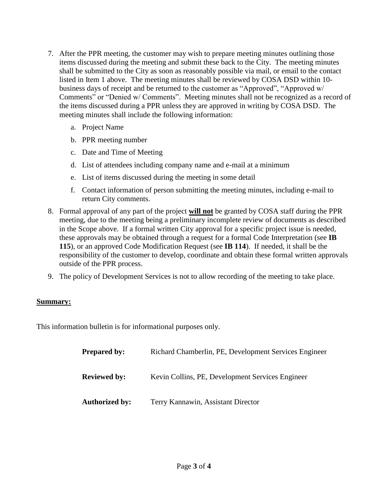- 7. After the PPR meeting, the customer may wish to prepare meeting minutes outlining those items discussed during the meeting and submit these back to the City. The meeting minutes shall be submitted to the City as soon as reasonably possible via mail, or email to the contact listed in Item 1 above. The meeting minutes shall be reviewed by COSA DSD within 10 business days of receipt and be returned to the customer as "Approved", "Approved w/ Comments" or "Denied w/ Comments". Meeting minutes shall not be recognized as a record of the items discussed during a PPR unless they are approved in writing by COSA DSD. The meeting minutes shall include the following information:
	- a. Project Name
	- b. PPR meeting number
	- c. Date and Time of Meeting
	- d. List of attendees including company name and e-mail at a minimum
	- e. List of items discussed during the meeting in some detail
	- f. Contact information of person submitting the meeting minutes, including e-mail to return City comments.
- 8. Formal approval of any part of the project **will not** be granted by COSA staff during the PPR meeting, due to the meeting being a preliminary incomplete review of documents as described in the Scope above. If a formal written City approval for a specific project issue is needed, these approvals may be obtained through a request for a formal Code Interpretation (see **IB 115**), or an approved Code Modification Request (see **IB 114**). If needed, it shall be the responsibility of the customer to develop, coordinate and obtain these formal written approvals outside of the PPR process.
- 9. The policy of Development Services is not to allow recording of the meeting to take place.

# **Summary:**

This information bulletin is for informational purposes only.

| <b>Prepared by:</b>   | Richard Chamberlin, PE, Development Services Engineer |
|-----------------------|-------------------------------------------------------|
| <b>Reviewed by:</b>   | Kevin Collins, PE, Development Services Engineer      |
| <b>Authorized by:</b> | Terry Kannawin, Assistant Director                    |